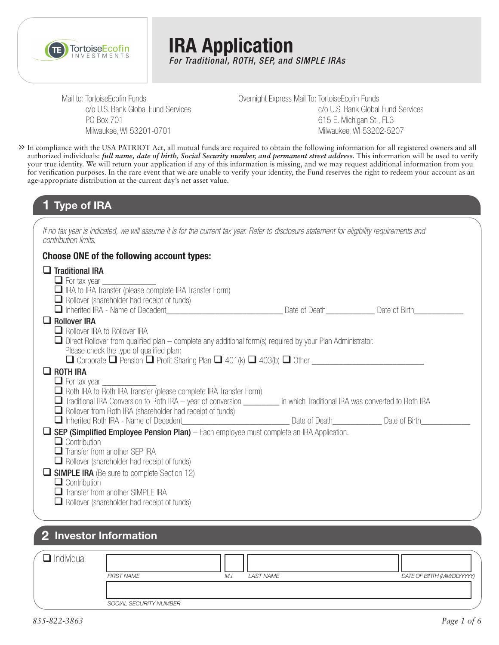

**IRA Application** *For Traditional, ROTH, SEP, and SIMPLE IRAs*

Mail to: TortoiseEcofin Funds c/o U.S. Bank Global Fund Services PO Box 701 Milwaukee, WI 53201-0701

Overnight Express Mail To: TortoiseEcofin Funds c/o U.S. Bank Global Fund Services 615 E. Michigan St., FL3 Milwaukee, WI 53202-5207

In compliance with the USA PATRIOT Act, all mutual funds are required to obtain the following information for all registered owners and all **>>** authorized individuals: *full name, date of birth, Social Security number, and permanent street address.* This information will be used to verify your true identity. We will return your application if any of this information is missing, and we may request additional information from you for verification purposes. In the rare event that we are unable to verify your identity, the Fund reserves the right to redeem your account as an age-appropriate distribution at the current day's net asset value.

### **1 Type of IRA**

*If no tax year is indicated, we will assume it is for the current tax year. Refer to disclosure statement for eligibility requirements and contribution limits.*

#### **Choose ONE of the following account types:**

| $\Box$ Traditional IRA<br>$\Box$ For tax year                                                                                                                                                          |  |
|--------------------------------------------------------------------------------------------------------------------------------------------------------------------------------------------------------|--|
| $\Box$ IRA to IRA Transfer (please complete IRA Transfer Form)<br>$\Box$ Rollover (shareholder had receipt of funds)                                                                                   |  |
|                                                                                                                                                                                                        |  |
| $\Box$ Rollover IRA<br>Rollover IRA to Rollover IRA                                                                                                                                                    |  |
| $\Box$ Direct Rollover from qualified plan – complete any additional form(s) required by your Plan Administrator.<br>Please check the type of qualified plan:                                          |  |
| $\Box$ ROTH IRA                                                                                                                                                                                        |  |
| $\Box$ For tax year $\Box$                                                                                                                                                                             |  |
| Roth IRA to Roth IRA Transfer (please complete IRA Transfer Form)                                                                                                                                      |  |
| Traditional IRA Conversion to Roth IRA – year of conversion _________ in which Traditional IRA was converted to Roth IRA                                                                               |  |
| $\Box$ Rollover from Roth IRA (shareholder had receipt of funds)<br>Inherited Roth IRA - Name of Decedent <b>Constant Constant Constant Constant Constant Constant Constant Constant</b> Date of Birth |  |
| $\Box$ SEP (Simplified Employee Pension Plan) – Each employee must complete an IRA Application.                                                                                                        |  |
| $\Box$ Contribution                                                                                                                                                                                    |  |
| $\Box$ Transfer from another SEP IRA                                                                                                                                                                   |  |
| $\Box$ Rollover (shareholder had receipt of funds)                                                                                                                                                     |  |
| <b>SIMPLE IRA</b> (Be sure to complete Section 12)                                                                                                                                                     |  |
| $\Box$ Contribution                                                                                                                                                                                    |  |
| $\Box$ Transfer from another SIMPLE IRA                                                                                                                                                                |  |
| $\Box$ Rollover (shareholder had receipt of funds)                                                                                                                                                     |  |
|                                                                                                                                                                                                        |  |

### **2 Investor Information**

| Individual |                        |                   |                            |
|------------|------------------------|-------------------|----------------------------|
|            | <b>FIRST NAME</b>      | LAST NAME<br>M.I. | DATE OF BIRTH (MM/DD/YYYY) |
|            |                        |                   |                            |
|            | SOCIAL SECURITY NUMBER |                   |                            |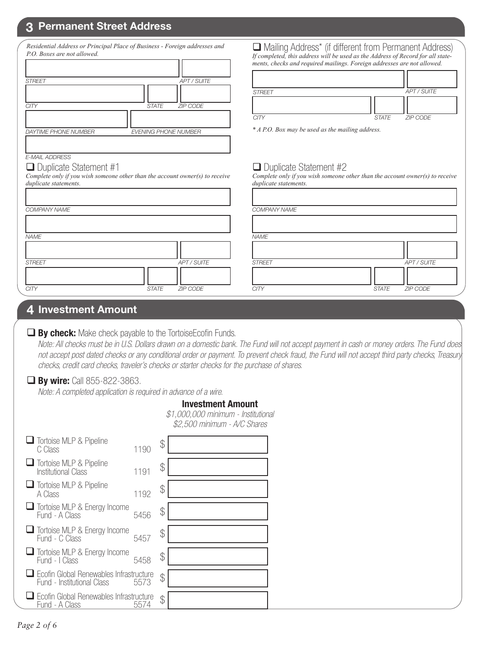# **3 Permanent Street Address**

| Residential Address or Principal Place of Business - Foreign addresses and<br>P.O. Boxes are not allowed.<br><b>APT / SUITE</b><br><b>STREET</b>                | □ Mailing Address* (if different from Permanent Address)<br>If completed, this address will be used as the Address of Record for all state-<br>ments, checks and required mailings. Foreign addresses are not allowed. |
|-----------------------------------------------------------------------------------------------------------------------------------------------------------------|------------------------------------------------------------------------------------------------------------------------------------------------------------------------------------------------------------------------|
| <b>ZIP CODE</b><br><b>CITY</b><br><b>STATE</b>                                                                                                                  | <b>APT / SUITE</b><br><b>STREET</b><br>CITY<br><b>STATE</b><br><b>ZIP CODE</b>                                                                                                                                         |
| <b>DAYTIME PHONE NUMBER</b><br><b>EVENING PHONE NUMBER</b>                                                                                                      | * A P.O. Box may be used as the mailing address.                                                                                                                                                                       |
| <b>E-MAIL ADDRESS</b><br>$\Box$ Duplicate Statement #1<br>Complete only if you wish someone other than the account owner(s) to receive<br>duplicate statements. | $\Box$ Duplicate Statement #2<br>Complete only if you wish someone other than the account owner(s) to receive<br>duplicate statements.                                                                                 |
| COMPANY NAME                                                                                                                                                    | <b>COMPANY NAME</b>                                                                                                                                                                                                    |
| <b>NAME</b>                                                                                                                                                     | <b>NAME</b>                                                                                                                                                                                                            |
| <b>APT / SUITE</b><br><b>STREET</b><br><b>STATE</b><br><b>ZIP CODE</b><br><b>CITY</b>                                                                           | <b>APT / SUITE</b><br><b>STREET</b><br><b>CITY</b><br><b>STATE</b><br><b>ZIP CODE</b>                                                                                                                                  |
|                                                                                                                                                                 |                                                                                                                                                                                                                        |

### **4 Investment Amount**

### **By check:** Make check payable to the TortoiseEcofin Funds.

 *Note: All checks must be in U.S. Dollars drawn on a domestic bank. The Fund will not accept payment in cash or money orders. The Fund does not accept post dated checks or any conditional order or payment. To prevent check fraud, the Fund will not accept third party checks, Treasury checks, credit card checks, traveler's checks or starter checks for the purchase of shares.*

### **By wire:** Call 855-822-3863.

*Note: A completed application is required in advance of a wire.*

#### **Investment Amount**

*\$1,000,000 minimum - Institutional \$2,500 minimum - A/C Shares*

| <b>T</b> Tortoise MLP & Pipeline<br>C Class                           | 1190 | \$ |
|-----------------------------------------------------------------------|------|----|
| Tortoise MLP & Pipeline<br><b>Institutional Class</b>                 | 1191 | \$ |
| <b>Tortoise MLP &amp; Pipeline</b><br>A Class                         | 1192 | \$ |
| $\Box$ Tortoise MLP & Energy Income<br>Fund - A Class                 | 5456 | \$ |
| <b>□</b> Tortoise MLP & Energy Income<br>Fund - C Class               | 5457 | \$ |
| Tortoise MLP & Energy Income<br>Fund - I Class                        | 5458 | \$ |
| Ecofin Global Renewables Infrastructure<br>Fund - Institutional Class | 5573 | \$ |
| Ecofin Global Renewables Infrastructure<br>Fund - A Class             | 5574 | \$ |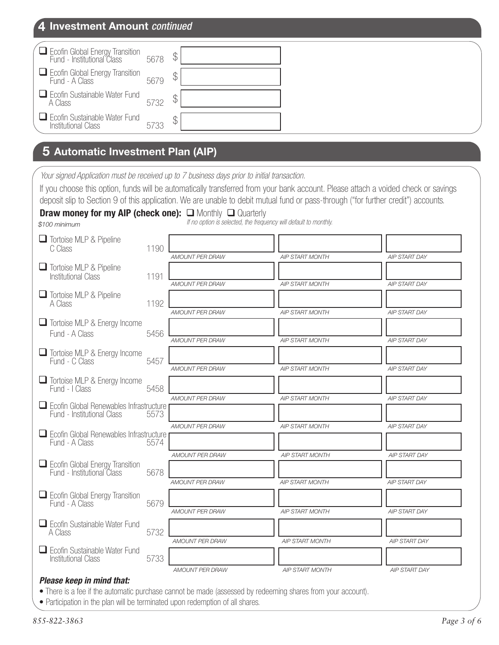| 4 Investment Amount continued                                      |      |    |  |
|--------------------------------------------------------------------|------|----|--|
| Ecofin Global Energy Transition<br>Fund - Institutional Class      | 5678 | \$ |  |
| Ecofin Global Energy Transition<br>Fund - A Class                  | 5679 |    |  |
| $\Box$ Ecofin Sustainable Water Fund<br>A Class                    | 5732 |    |  |
| $\Box$ Ecofin Sustainable Water Fund<br><b>Institutional Class</b> | 5733 |    |  |

# **5 Automatic Investment Plan (AIP)**

*Your signed Application must be received up to 7 business days prior to initial transaction.*

If you choose this option, funds will be automatically transferred from your bank account. Please attach a voided check or savings

|                                                                              |      |                        | deposit slip to Section 9 of this application. We are unable to debit mutual fund or pass-through ("for further credit") accounts. |                      |
|------------------------------------------------------------------------------|------|------------------------|------------------------------------------------------------------------------------------------------------------------------------|----------------------|
| <b>Draw money for my AIP (check one):</b> $\Box$ Monthly $\Box$ Quarterly    |      |                        | If no option is selected, the frequency will default to monthly.                                                                   |                      |
| \$100 minimum                                                                |      |                        |                                                                                                                                    |                      |
| Tortoise MLP & Pipeline<br>C Class                                           | 1190 |                        |                                                                                                                                    |                      |
| <b>Tortoise MLP &amp; Pipeline</b><br><b>Institutional Class</b>             | 1191 | <b>AMOUNT PER DRAW</b> | <b>AIP START MONTH</b>                                                                                                             | <b>AIP START DAY</b> |
|                                                                              |      | <b>AMOUNT PER DRAW</b> | <b>AIP START MONTH</b>                                                                                                             | AIP START DAY        |
| Tortoise MLP & Pipeline<br>A Class                                           | 1192 |                        |                                                                                                                                    |                      |
|                                                                              |      | AMOUNT PER DRAW        | <b>AIP START MONTH</b>                                                                                                             | <b>AIP START DAY</b> |
| Tortoise MLP & Energy Income                                                 |      |                        |                                                                                                                                    |                      |
| Fund - A Class                                                               | 5456 | <b>AMOUNT PER DRAW</b> | <b>AIP START MONTH</b>                                                                                                             | <b>AIP START DAY</b> |
| Tortoise MLP & Energy Income<br>Fund - C Class                               | 5457 |                        |                                                                                                                                    |                      |
|                                                                              |      | <b>AMOUNT PER DRAW</b> | <b>AIP START MONTH</b>                                                                                                             | AIP START DAY        |
| Tortoise MLP & Energy Income<br>Fund - I Class                               | 5458 |                        |                                                                                                                                    |                      |
|                                                                              |      | AMOUNT PER DRAW        | <b>AIP START MONTH</b>                                                                                                             | AIP START DAY        |
| $\Box$ Ecofin Global Renewables Infrastructure<br>Fund - Institutional Class | 5573 |                        |                                                                                                                                    |                      |
|                                                                              |      | AMOUNT PER DRAW        | <b>AIP START MONTH</b>                                                                                                             | AIP START DAY        |
| $\Box$ Ecofin Global Renewables Infrastructure<br>Fund - A Class             | 5574 |                        |                                                                                                                                    |                      |
|                                                                              |      | <b>AMOUNT PER DRAW</b> | <b>AIP START MONTH</b>                                                                                                             | <b>AIP START DAY</b> |
| Ecofin Global Energy Transition<br>Fund - Institutional Class                | 5678 |                        |                                                                                                                                    |                      |
|                                                                              |      | <b>AMOUNT PER DRAW</b> | <b>AIP START MONTH</b>                                                                                                             | <b>AIP START DAY</b> |
| $\Box$ Ecofin Global Energy Transition<br>Fund - A Class                     | 5679 |                        |                                                                                                                                    |                      |
|                                                                              |      | <b>AMOUNT PER DRAW</b> | <b>AIP START MONTH</b>                                                                                                             | <b>AIP START DAY</b> |
| $\Box$ Ecofin Sustainable Water Fund<br>A Class                              | 5732 |                        |                                                                                                                                    |                      |
|                                                                              |      | <b>AMOUNT PER DRAW</b> | AIP START MONTH                                                                                                                    | <b>AIP START DAY</b> |
| Ecofin Sustainable Water Fund<br><b>Institutional Class</b>                  | 5733 |                        |                                                                                                                                    |                      |
|                                                                              |      | AMOUNT PER DRAW        | <b>AIP START MONTH</b>                                                                                                             | AIP START DAY        |

#### *Please keep in mind that:*

• There is a fee if the automatic purchase cannot be made (assessed by redeeming shares from your account).

• Participation in the plan will be terminated upon redemption of all shares.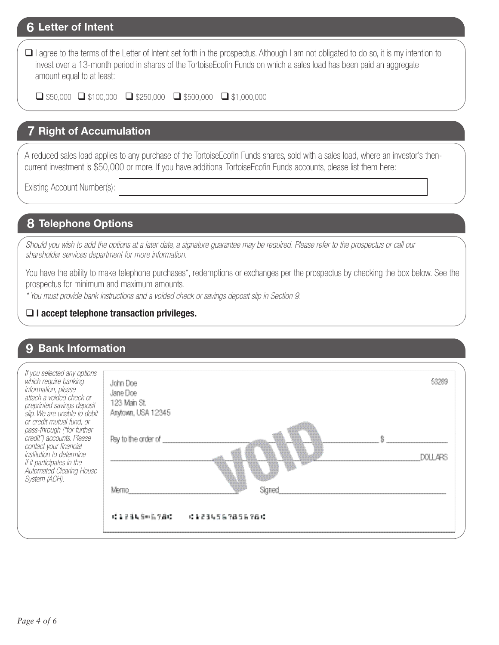### **6 Letter of Intent**

□ I agree to the terms of the Letter of Intent set forth in the prospectus. Although I am not obligated to do so, it is my intention to invest over a 13-month period in shares of the TortoiseEcofin Funds on which a sales load has been paid an aggregate amount equal to at least:

 $\Box$  \$50,000  $\Box$  \$100,000  $\Box$  \$250,000  $\Box$  \$500,000  $\Box$  \$1,000,000

### **7 Right of Accumulation**

A reduced sales load applies to any purchase of the TortoiseEcofin Funds shares, sold with a sales load, where an investor's thencurrent investment is \$50,000 or more. If you have additional TortoiseEcofin Funds accounts, please list them here:

Existing Account Number(s):

# **8 Telephone Options**

*Should you wish to add the options at a later date, a signature guarantee may be required. Please refer to the prospectus or call our shareholder services department for more information.*

You have the ability to make telephone purchases\*, redemptions or exchanges per the prospectus by checking the box below. See the prospectus for minimum and maximum amounts.

*\* You must provide bank instructions and a voided check or savings deposit slip in Section 9.* 

#### **I accept telephone transaction privileges.**

### **9 Bank Information**

| If you selected any options<br>which require banking<br>information, please<br>attach a voided check or<br>preprinted savings deposit<br>slip. We are unable to debit<br>or credit mutual fund, or<br>pass-through ("for further<br>credit") accounts. Please<br>contact your financial<br>institution to determine<br>if it participates in the<br>Automated Clearing House<br>System (ACH). | John Doe<br>Jane Doe<br>123 Main St.<br>Anytown, USA 12345<br>Pay to the order of<br>Mern<br>0.12345906780 = 0.1234567856789. |  |  |
|-----------------------------------------------------------------------------------------------------------------------------------------------------------------------------------------------------------------------------------------------------------------------------------------------------------------------------------------------------------------------------------------------|-------------------------------------------------------------------------------------------------------------------------------|--|--|
|-----------------------------------------------------------------------------------------------------------------------------------------------------------------------------------------------------------------------------------------------------------------------------------------------------------------------------------------------------------------------------------------------|-------------------------------------------------------------------------------------------------------------------------------|--|--|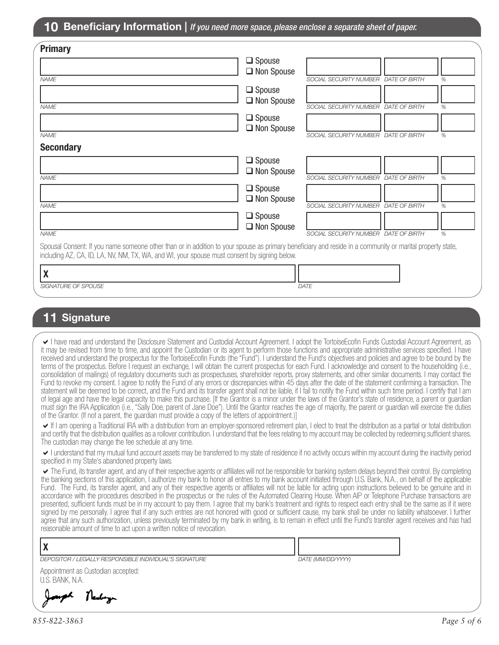| <b>Primary</b>                                                                                                                                                                                                                                            |                   |                                      |   |
|-----------------------------------------------------------------------------------------------------------------------------------------------------------------------------------------------------------------------------------------------------------|-------------------|--------------------------------------|---|
|                                                                                                                                                                                                                                                           | $\Box$ Spouse     |                                      |   |
| <b>NAME</b>                                                                                                                                                                                                                                               | □ Non Spouse      | SOCIAL SECURITY NUMBER DATE OF BIRTH | % |
|                                                                                                                                                                                                                                                           |                   |                                      |   |
|                                                                                                                                                                                                                                                           | $\Box$ Spouse     |                                      |   |
| <b>NAME</b>                                                                                                                                                                                                                                               | □ Non Spouse      | SOCIAL SECURITY NUMBER DATE OF BIRTH | % |
|                                                                                                                                                                                                                                                           | $\Box$ Spouse     |                                      |   |
|                                                                                                                                                                                                                                                           | $\Box$ Non Spouse |                                      |   |
| <b>NAME</b>                                                                                                                                                                                                                                               |                   | SOCIAL SECURITY NUMBER DATE OF BIRTH | % |
| <b>Secondary</b>                                                                                                                                                                                                                                          |                   |                                      |   |
|                                                                                                                                                                                                                                                           | $\Box$ Spouse     |                                      |   |
|                                                                                                                                                                                                                                                           | $\Box$ Non Spouse |                                      |   |
| <b>NAME</b>                                                                                                                                                                                                                                               |                   | SOCIAL SECURITY NUMBER DATE OF BIRTH | % |
|                                                                                                                                                                                                                                                           | $\Box$ Spouse     |                                      |   |
| <b>NAME</b>                                                                                                                                                                                                                                               | $\Box$ Non Spouse | SOCIAL SECURITY NUMBER DATE OF BIRTH | % |
|                                                                                                                                                                                                                                                           | $\Box$ Spouse     |                                      |   |
|                                                                                                                                                                                                                                                           | $\Box$ Non Spouse |                                      |   |
| <b>NAME</b>                                                                                                                                                                                                                                               |                   | SOCIAL SECURITY NUMBER DATE OF BIRTH | % |
| Spousal Consent: If you name someone other than or in addition to your spouse as primary beneficiary and reside in a community or marital property state,<br>including AZ, CA, ID, LA, NV, NM, TX, WA, and WI, your spouse must consent by signing below. |                   |                                      |   |
|                                                                                                                                                                                                                                                           |                   |                                      |   |
| χ                                                                                                                                                                                                                                                         |                   |                                      |   |
| <b>SIGNATURE OF SPOUSE</b>                                                                                                                                                                                                                                |                   | DATE                                 |   |

# **11 Signature**

I have read and understand the Disclosure Statement and Custodial Account Agreement. I adopt the TortoiseEcofin Funds Custodial Account Agreement, as it may be revised from time to time, and appoint the Custodian or its agent to perform those functions and appropriate administrative services specified. I have received and understand the prospectus for the TortoiseEcofin Funds (the "Fund"). I understand the Fund's objectives and policies and agree to be bound by the terms of the prospectus. Before I request an exchange, I will obtain the current prospectus for each Fund. I acknowledge and consent to the householding (i.e., consolidation of mailings) of regulatory documents such as prospectuses, shareholder reports, proxy statements, and other similar documents. I may contact the Fund to revoke my consent. I agree to notify the Fund of any errors or discrepancies within 45 days after the date of the statement confirming a transaction. The statement will be deemed to be correct, and the Fund and its transfer agent shall not be liable, if I fail to notify the Fund within such time period. I certify that I am of legal age and have the legal capacity to make this purchase. [If the Grantor is a minor under the laws of the Grantor's state of residence, a parent or guardian must sign the IRA Application (i.e., "Sally Doe, parent of Jane Doe"). Until the Grantor reaches the age of majority, the parent or guardian will exercise the duties of the Grantor. (If not a parent, the guardian must provide a copy of the letters of appointment.)]

If I am opening a Traditional IRA with a distribution from an employer-sponsored retirement plan, I elect to treat the distribution as a partial or total distribution and certify that the distribution qualifies as a rollover contribution. I understand that the fees relating to my account may be collected by redeeming sufficient shares. The custodian may change the fee schedule at any time.

I understand that my mutual fund account assets may be transferred to my state of residence if no activity occurs within my account during the inactivity period specified in my State's abandoned property laws.

The Fund, its transfer agent, and any of their respective agents or affiliates will not be responsible for banking system delays beyond their control. By completing the banking sections of this application, I authorize my bank to honor all entries to my bank account initiated through U.S. Bank, N.A., on behalf of the applicable Fund. The Fund, its transfer agent, and any of their respective agents or affiliates will not be liable for acting upon instructions believed to be genuine and in accordance with the procedures described in the prospectus or the rules of the Automated Clearing House. When AIP or Telephone Purchase transactions are presented, sufficient funds must be in my account to pay them. I agree that my bank's treatment and rights to respect each entry shall be the same as if it were signed by me personally. I agree that if any such entries are not honored with good or sufficient cause, my bank shall be under no liability whatsoever. I further agree that any such authorization, unless previously terminated by my bank in writing, is to remain in effect until the Fund's transfer agent receives and has had reasonable amount of time to act upon a written notice of revocation.

| TOGOOTIGDIO GITTOGITE OF BITTO TO GOE GIOUT OF WITHOUT HOBOO OF FOVOOGIOTI. |                   |
|-----------------------------------------------------------------------------|-------------------|
|                                                                             |                   |
| DEPOSITOR / LEGALLY RESPONSIBLE INDIVIDUAL'S SIGNATURE                      | DATE (MM/DD/YYYY) |
| Appointment as Custodian accepted:<br>U.S. BANK, N.A.                       |                   |

Newboyn